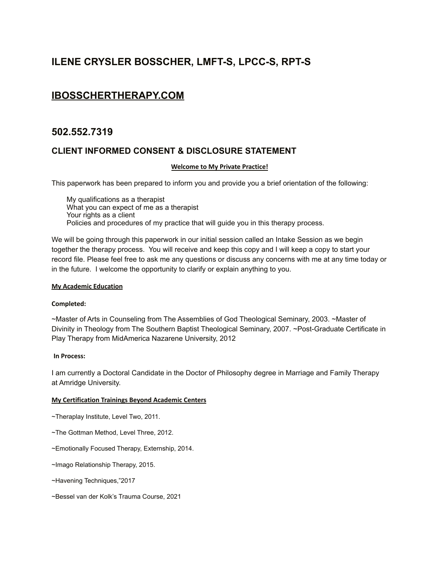## **ILENE CRYSLER BOSSCHER, LMFT-S, LPCC-S, RPT-S**

## **[IBOSSCHERTHERAPY.COM](http://ibosschertherapy.com/)**

## **502.552.7319**

## **CLIENT INFORMED CONSENT & DISCLOSURE STATEMENT**

#### **Welcome to My Private Practice!**

This paperwork has been prepared to inform you and provide you a brief orientation of the following:

My qualifications as a therapist What you can expect of me as a therapist Your rights as a client Policies and procedures of my practice that will guide you in this therapy process.

We will be going through this paperwork in our initial session called an Intake Session as we begin together the therapy process. You will receive and keep this copy and I will keep a copy to start your record file. Please feel free to ask me any questions or discuss any concerns with me at any time today or in the future. I welcome the opportunity to clarify or explain anything to you.

#### **My Academic Education**

#### **Completed:**

~Master of Arts in Counseling from The Assemblies of God Theological Seminary, 2003. ~Master of Divinity in Theology from The Southern Baptist Theological Seminary, 2007. ~Post-Graduate Certificate in Play Therapy from MidAmerica Nazarene University, 2012

#### **In Process:**

I am currently a Doctoral Candidate in the Doctor of Philosophy degree in Marriage and Family Therapy at Amridge University.

#### **My Certification Trainings Beyond Academic Centers**

~Theraplay Institute, Level Two, 2011.

- ~The Gottman Method, Level Three, 2012.
- ~Emotionally Focused Therapy, Externship, 2014.

~Imago Relationship Therapy, 2015.

~Havening Techniques,"2017

~Bessel van der Kolk's Trauma Course, 2021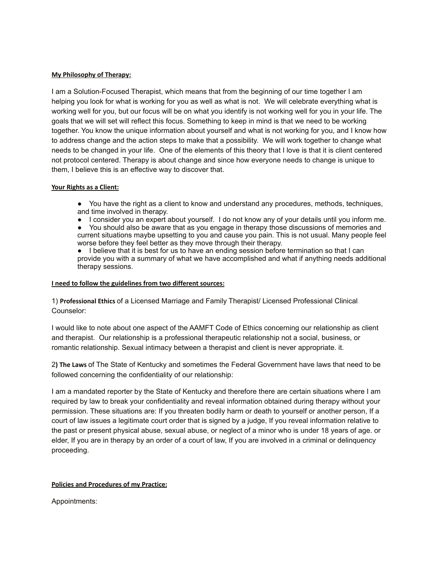#### **My Philosophy of Therapy:**

I am a Solution-Focused Therapist, which means that from the beginning of our time together I am helping you look for what is working for you as well as what is not. We will celebrate everything what is working well for you, but our focus will be on what you identify is not working well for you in your life. The goals that we will set will reflect this focus. Something to keep in mind is that we need to be working together. You know the unique information about yourself and what is not working for you, and I know how to address change and the action steps to make that a possibility. We will work together to change what needs to be changed in your life. One of the elements of this theory that I love is that it is client centered not protocol centered. Therapy is about change and since how everyone needs to change is unique to them, I believe this is an effective way to discover that.

#### **Your Rights as a Client:**

- You have the right as a client to know and understand any procedures, methods, techniques, and time involved in therapy.
- I consider you an expert about yourself. I do not know any of your details until you inform me.
- You should also be aware that as you engage in therapy those discussions of memories and current situations maybe upsetting to you and cause you pain. This is not usual. Many people feel worse before they feel better as they move through their therapy.

● I believe that it is best for us to have an ending session before termination so that I can provide you with a summary of what we have accomplished and what if anything needs additional therapy sessions.

#### **I need to follow the guidelines from two different sources:**

1) **Professional Ethics** of a Licensed Marriage and Family Therapist/ Licensed Professional Clinical Counselor:

I would like to note about one aspect of the AAMFT Code of Ethics concerning our relationship as client and therapist. Our relationship is a professional therapeutic relationship not a social, business, or romantic relationship. Sexual intimacy between a therapist and client is never appropriate. it.

2**) The Laws** of The State of Kentucky and sometimes the Federal Government have laws that need to be followed concerning the confidentiality of our relationship:

I am a mandated reporter by the State of Kentucky and therefore there are certain situations where I am required by law to break your confidentiality and reveal information obtained during therapy without your permission. These situations are: If you threaten bodily harm or death to yourself or another person, If a court of law issues a legitimate court order that is signed by a judge, If you reveal information relative to the past or present physical abuse, sexual abuse, or neglect of a minor who is under 18 years of age. or elder, If you are in therapy by an order of a court of law, If you are involved in a criminal or delinquency proceeding.

#### **Policies and Procedures of my Practice:**

Appointments: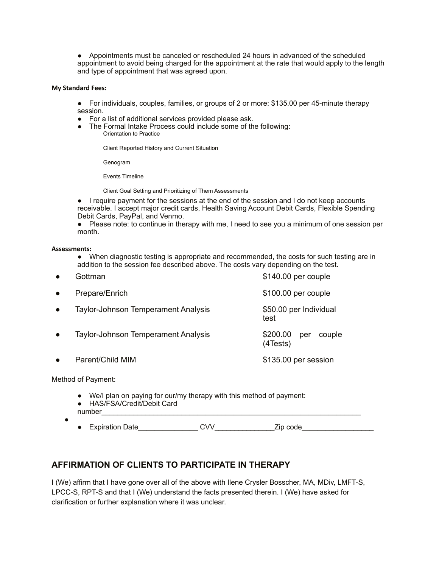● Appointments must be canceled or rescheduled 24 hours in advanced of the scheduled appointment to avoid being charged for the appointment at the rate that would apply to the length and type of appointment that was agreed upon.

#### **My Standard Fees:**

● For individuals, couples, families, or groups of 2 or more: \$135.00 per 45-minute therapy session.

- For a list of additional services provided please ask.
- The Formal Intake Process could include some of the following: Orientation to Practice

Client Reported History and Current Situation

Genogram

Events Timeline

Client Goal Setting and Prioritizing of Them Assessments

● I require payment for the sessions at the end of the session and I do not keep accounts receivable. I accept major credit cards, Health Saving Account Debit Cards, Flexible Spending Debit Cards, PayPal, and Venmo.

● Please note: to continue in therapy with me, I need to see you a minimum of one session per month.

#### **Assessments:**

● When diagnostic testing is appropriate and recommended, the costs for such testing are in addition to the session fee described above. The costs vary depending on the test.

| $\bullet$ | Gottman                                    | $$140.00$ per couple                  |
|-----------|--------------------------------------------|---------------------------------------|
| $\bullet$ | Prepare/Enrich                             | \$100.00 per couple                   |
| $\bullet$ | <b>Taylor-Johnson Temperament Analysis</b> | \$50.00 per Individual<br>test        |
| $\bullet$ | <b>Taylor-Johnson Temperament Analysis</b> | \$200.00<br>couple<br>per<br>(4Tests) |
| $\bullet$ | Parent/Child MIM                           | \$135.00 per session                  |
|           |                                            |                                       |

Method of Payment:

- We/I plan on paying for our/my therapy with this method of payment: ● HAS/FSA/Credit/Debit Card
- number
- - Expiration Date CVV Zip code

## **AFFIRMATION OF CLIENTS TO PARTICIPATE IN THERAPY**

I (We) affirm that I have gone over all of the above with Ilene Crysler Bosscher, MA, MDiv, LMFT-S, LPCC-S, RPT-S and that I (We) understand the facts presented therein. I (We) have asked for clarification or further explanation where it was unclear.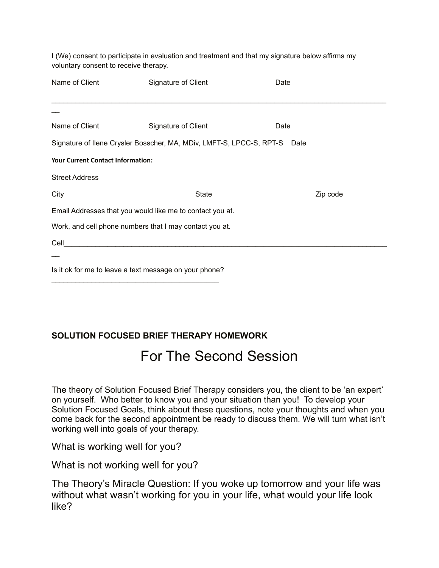| I (We) consent to participate in evaluation and treatment and that my signature below affirms my |
|--------------------------------------------------------------------------------------------------|
| voluntary consent to receive therapy.                                                            |

| Name of Client                                            | Signature of Client                                                       | Date |          |  |  |
|-----------------------------------------------------------|---------------------------------------------------------------------------|------|----------|--|--|
|                                                           |                                                                           |      |          |  |  |
|                                                           |                                                                           |      |          |  |  |
| Name of Client                                            | Signature of Client<br>Date                                               |      |          |  |  |
|                                                           | Signature of Ilene Crysler Bosscher, MA, MDiv, LMFT-S, LPCC-S, RPT-S Date |      |          |  |  |
| <b>Your Current Contact Information:</b>                  |                                                                           |      |          |  |  |
| <b>Street Address</b>                                     |                                                                           |      |          |  |  |
| City                                                      | State                                                                     |      | Zip code |  |  |
| Email Addresses that you would like me to contact you at. |                                                                           |      |          |  |  |
| Work, and cell phone numbers that I may contact you at.   |                                                                           |      |          |  |  |
| Cell                                                      |                                                                           |      |          |  |  |
|                                                           |                                                                           |      |          |  |  |

Is it ok for me to leave a text message on your phone?  $\mathcal{L}_\text{max}$  , and the set of the set of the set of the set of the set of the set of the set of the set of the set of the set of the set of the set of the set of the set of the set of the set of the set of the set of the

## **SOLUTION FOCUSED BRIEF THERAPY HOMEWORK**

## For The Second Session

The theory of Solution Focused Brief Therapy considers you, the client to be 'an expert' on yourself. Who better to know you and your situation than you! To develop your Solution Focused Goals, think about these questions, note your thoughts and when you come back for the second appointment be ready to discuss them. We will turn what isn't working well into goals of your therapy.

What is working well for you?

What is not working well for you?

The Theory's Miracle Question: If you woke up tomorrow and your life was without what wasn't working for you in your life, what would your life look like?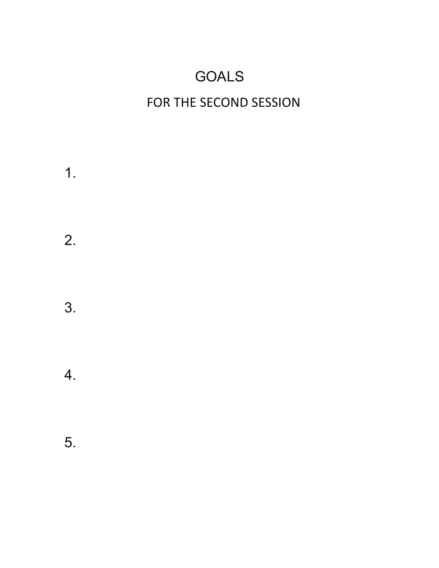# GOALS

# FOR THE SECOND SESSION

1. 2. 3. 4. 5.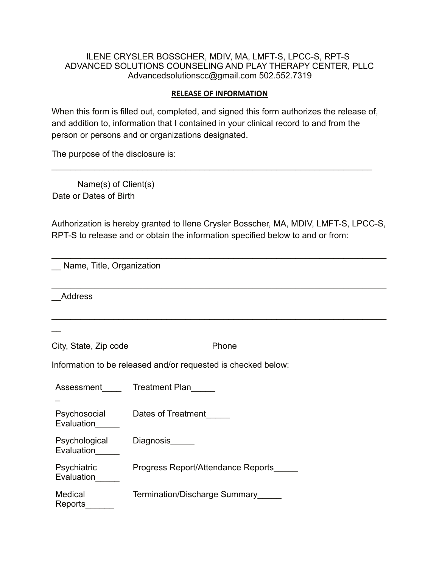### ILENE CRYSLER BOSSCHER, MDIV, MA, LMFT-S, LPCC-S, RPT-S ADVANCED SOLUTIONS COUNSELING AND PLAY THERAPY CENTER, PLLC Advancedsolutionscc@gmail.com 502.552.7319

#### **RELEASE OF INFORMATION**

When this form is filled out, completed, and signed this form authorizes the release of, and addition to, information that I contained in your clinical record to and from the person or persons and or organizations designated.

 $\mathcal{L}_\mathcal{L} = \mathcal{L}_\mathcal{L} = \mathcal{L}_\mathcal{L} = \mathcal{L}_\mathcal{L} = \mathcal{L}_\mathcal{L} = \mathcal{L}_\mathcal{L} = \mathcal{L}_\mathcal{L} = \mathcal{L}_\mathcal{L} = \mathcal{L}_\mathcal{L} = \mathcal{L}_\mathcal{L} = \mathcal{L}_\mathcal{L} = \mathcal{L}_\mathcal{L} = \mathcal{L}_\mathcal{L} = \mathcal{L}_\mathcal{L} = \mathcal{L}_\mathcal{L} = \mathcal{L}_\mathcal{L} = \mathcal{L}_\mathcal{L}$ 

The purpose of the disclosure is:

Name(s) of Client(s) Date or Dates of Birth

Authorization is hereby granted to Ilene Crysler Bosscher, MA, MDIV, LMFT-S, LPCC-S, RPT-S to release and or obtain the information specified below to and or from:

\_\_\_\_\_\_\_\_\_\_\_\_\_\_\_\_\_\_\_\_\_\_\_\_\_\_\_\_\_\_\_\_\_\_\_\_\_\_\_\_\_\_\_\_\_\_\_\_\_\_\_\_\_\_\_\_\_\_\_\_\_\_\_\_\_\_\_\_\_\_

 $\mathcal{L}_\text{max} = \mathcal{L}_\text{max} = \mathcal{L}_\text{max} = \mathcal{L}_\text{max} = \mathcal{L}_\text{max} = \mathcal{L}_\text{max} = \mathcal{L}_\text{max} = \mathcal{L}_\text{max} = \mathcal{L}_\text{max} = \mathcal{L}_\text{max} = \mathcal{L}_\text{max} = \mathcal{L}_\text{max} = \mathcal{L}_\text{max} = \mathcal{L}_\text{max} = \mathcal{L}_\text{max} = \mathcal{L}_\text{max} = \mathcal{L}_\text{max} = \mathcal{L}_\text{max} = \mathcal{$ 

\_\_\_\_\_\_\_\_\_\_\_\_\_\_\_\_\_\_\_\_\_\_\_\_\_\_\_\_\_\_\_\_\_\_\_\_\_\_\_\_\_\_\_\_\_\_\_\_\_\_\_\_\_\_\_\_\_\_\_\_\_\_\_\_\_\_\_\_\_\_

Name, Title, Organization

\_\_Address

 $\overline{\phantom{a}}$ 

| City, State, Zip code | Phone |
|-----------------------|-------|
|-----------------------|-------|

Information to be released and/or requested is checked below:

| Assessment                       | <b>Treatment Plan</b>              |
|----------------------------------|------------------------------------|
|                                  |                                    |
| Psychosocial<br>Evaluation       | Dates of Treatment                 |
| Psychological<br>Evaluation      | <b>Diagnosis</b>                   |
| <b>Psychiatric</b><br>Evaluation | Progress Report/Attendance Reports |
| <b>Medical</b><br>Reports        | Termination/Discharge Summary      |